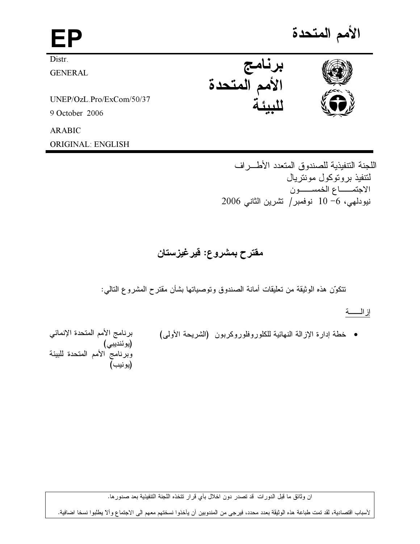| ΕP                       |                         | الأمم المتحدة |
|--------------------------|-------------------------|---------------|
| Distr.                   |                         |               |
| <b>GENERAL</b>           | برنامج<br>الأمم المتحدة |               |
| UNEP/OzL.Pro/ExCom/50/37 |                         |               |
| 9 October 2006           |                         |               |
| <b>ARABIC</b>            |                         |               |
| ORIGINAL: ENGLISH        |                         |               |

اللجنة التتفيذية للصندوق المتعدد الأطراف لتتفيذ بروتوكول مونتريال الاجتمــــاع الخمســـــون نيودلمي، 6− 10 نوفمبر/ نشرين الثاني 2006

مقترح بمشروع: قيرغيزستان

نتكوّن هذه الوثيقة من تعليقات أمانة الصندوق وتوصياتها بشأن مقترح المشروع التالي:

إزالــــــة

• خطة إدارة الإزالة النهائية للكلوروفلوروكربون (الشريحة الأولى)

برنامج الأمم المتحدة الإنمائي (يوئنديبي)<br>وبرنامج الأمم المتحدة للبيئة (يونيب)

ان وثائق ما قبل الدورات قد تصدر دون اخلال بأي قرار تتخذه اللجنة التتفيذية بعد صدورها.

لأسباب اقتصادية، لقد تمت طباعة هذه الوثيقة بعدد محدد، فيرجى من المندوبين أن يأخذوا نسختهم معهم الى الاجتماع وألآ يطلبوا نسخا اضافية.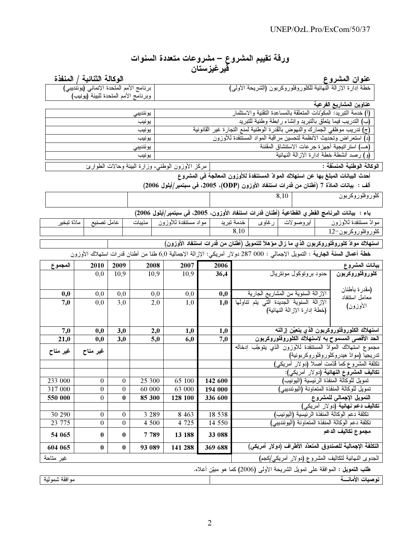# ورقة تقييم المشروع – مشروعات متعددة السنوات<br>قد غذستان

| ىپرىيرسەن                                                                                                                                         |                            |                  |          |                                                                                                                                      |            |                                                                                                  |                                                                                  |      |                              |  |                                                                                           |
|---------------------------------------------------------------------------------------------------------------------------------------------------|----------------------------|------------------|----------|--------------------------------------------------------------------------------------------------------------------------------------|------------|--------------------------------------------------------------------------------------------------|----------------------------------------------------------------------------------|------|------------------------------|--|-------------------------------------------------------------------------------------------|
|                                                                                                                                                   | الوكالة الثنائية / المنفذة |                  |          |                                                                                                                                      |            |                                                                                                  |                                                                                  |      |                              |  | عنوان المشروع                                                                             |
| خطة إدارة الإزالة النهائية للكلوروفلوروكربون (الشريحة الأولى)<br>برنامج الأمم المتحدة الإنمائي (يوئنديبي)<br>وبرنامج الأمم المتحدة للبيئة (يونيب) |                            |                  |          |                                                                                                                                      |            |                                                                                                  |                                                                                  |      |                              |  |                                                                                           |
|                                                                                                                                                   |                            |                  |          |                                                                                                                                      |            |                                                                                                  |                                                                                  |      |                              |  | عناوين المشاريع الفرعية                                                                   |
|                                                                                                                                                   |                            |                  | يوئنديبي |                                                                                                                                      |            |                                                                                                  |                                                                                  |      |                              |  | (أ) خدمة النبريد: المكوّنات المتعلقة بالمساعدة التقنية والاستثمار                         |
| (ب) الندريب فيما يتعلق بالنبريد وإنشاء رابطة وطنية للنبريد<br>يونيب                                                                               |                            |                  |          |                                                                                                                                      |            |                                                                                                  |                                                                                  |      |                              |  |                                                                                           |
| (ج) تدريب موظفي الجمارك والنهوض بالقدرة الوطنية لمنع التجارة غير القانونية<br>يونيب                                                               |                            |                  |          |                                                                                                                                      |            |                                                                                                  |                                                                                  |      |                              |  |                                                                                           |
| (د) استعر اض وتحديث الأنظمة لتحسين مر اقبة المواد المستنفدة للأوزون<br>يونيب                                                                      |                            |                  |          |                                                                                                                                      |            |                                                                                                  |                                                                                  |      |                              |  |                                                                                           |
| (هــ) استر اتيجية أجهزة جرعات الاستنشاق المقننة<br>يوننديبي<br>(و) رصد أنشطة خطة إدارة الإزالة النهائية                                           |                            |                  |          |                                                                                                                                      |            |                                                                                                  |                                                                                  |      |                              |  |                                                                                           |
|                                                                                                                                                   |                            |                  | يونيب    |                                                                                                                                      |            |                                                                                                  |                                                                                  |      |                              |  | الوكالة الوطنية المنسقة :                                                                 |
| مركز الأوزون الوطني، وزارة البيَّنة وحالات الطوارئ<br>أحدث البيانات المبلغ بها عن استهلاك الموادّ المستنفدة للأوزون المعالجة في المشروع           |                            |                  |          |                                                                                                                                      |            |                                                                                                  |                                                                                  |      |                              |  |                                                                                           |
|                                                                                                                                                   |                            |                  |          | ألف :  بيانات المادّة 7 (أطنان من فدرات استنفاد الأوزون (ODP)، 2005، في سبتمبر/أيلول 2006)                                           |            |                                                                                                  |                                                                                  |      |                              |  |                                                                                           |
|                                                                                                                                                   |                            |                  |          |                                                                                                                                      |            |                                                                                                  |                                                                                  | 8,10 |                              |  | كلوروفلوروكربون                                                                           |
|                                                                                                                                                   |                            |                  |          |                                                                                                                                      |            |                                                                                                  |                                                                                  |      |                              |  |                                                                                           |
|                                                                                                                                                   |                            |                  |          | باء :  بيانات البرنامج الفطري الفطاعية (أطنان فدرات استنفاد الأوزون، 2005، في سبتمبر/أيلول 2006)                                     |            |                                                                                                  |                                                                                  |      |                              |  |                                                                                           |
| مادّة تبخير                                                                                                                                       | عامل تصنيع                 |                  | مذيبات   | مواد مستنفدة للأوزون                                                                                                                 |            | أخدمة تبريد                                                                                      | أبروصولات   رغاوى                                                                |      |                              |  | موادّ مستنفدة للأوزون                                                                     |
|                                                                                                                                                   |                            |                  |          |                                                                                                                                      |            | 8.10                                                                                             |                                                                                  |      |                              |  | كلور وفلور وكربون–12                                                                      |
|                                                                                                                                                   |                            |                  |          |                                                                                                                                      |            |                                                                                                  |                                                                                  |      |                              |  | استهلاك موادّ كلوروفلوروكربون الذي ما زال مؤهلاً للتمويل (أطنان من فدرات استنفاد الأوزون) |
|                                                                                                                                                   |                            |                  |          | <b>خطة أعمال السنة الجارية</b> : التمويل الإجمالـي : 000 287 دولار أمريكـي: الإزالة الإجمالية 6٫0 طنا من أطنان قدرات استهلاك الأوزون |            |                                                                                                  |                                                                                  |      |                              |  |                                                                                           |
| المجموع                                                                                                                                           | 2010                       | 2009             | 2008     | 2007                                                                                                                                 | 2006       |                                                                                                  |                                                                                  |      |                              |  | بيانات المشروع                                                                            |
|                                                                                                                                                   | 0,0                        | 10,9             | 10,9     | 10,9                                                                                                                                 | 36,4       |                                                                                                  |                                                                                  |      | حدود بر وتوكول مونتريال      |  | كلوروفلوروكربون                                                                           |
|                                                                                                                                                   |                            |                  |          |                                                                                                                                      |            |                                                                                                  |                                                                                  |      |                              |  | (مقدر ة بأطنان                                                                            |
| 0,0<br>7,0                                                                                                                                        | 0,0<br>0,0                 | 0,0<br>3,0       |          | 0,0<br>0,0<br>2,0<br>1,0                                                                                                             | 0,0<br>1,0 |                                                                                                  | الإز الة السنوية من المشاريع الجارية<br>الإزالة السنوية الجديدة التي يتم نتاولها |      |                              |  | معامل استنفاد                                                                             |
|                                                                                                                                                   |                            |                  |          |                                                                                                                                      |            |                                                                                                  |                                                                                  |      | (خطة إدارة الإزالة النهائية) |  | الأوزون)                                                                                  |
|                                                                                                                                                   |                            |                  |          |                                                                                                                                      |            |                                                                                                  |                                                                                  |      |                              |  |                                                                                           |
| 7,0                                                                                                                                               | 0,0                        | 3,0              |          | 2,0<br>1,0                                                                                                                           | 1,0        |                                                                                                  |                                                                                  |      |                              |  | استهلاك الكلوروفلوروكربون الذي يتعيّن إزالته                                              |
| 21,0                                                                                                                                              | 0,0                        | 3,0              |          | 5,0<br>6,0                                                                                                                           | 7,0        |                                                                                                  |                                                                                  |      |                              |  | الحد الأقصى المسموح به لاستهلاك الكلوروفلوروكربون                                         |
| غير متاح                                                                                                                                          | غير متاح                   |                  |          |                                                                                                                                      |            |                                                                                                  |                                                                                  |      |                              |  | مجموع استهلاك الموادّ المستنفدة للأوزون الذي يتوجّب إدخاله                                |
|                                                                                                                                                   |                            |                  |          |                                                                                                                                      |            |                                                                                                  |                                                                                  |      |                              |  | تدريجيا (موادّ هيدروكلوروفلوروكربونية)                                                    |
|                                                                                                                                                   |                            |                  |          |                                                                                                                                      |            |                                                                                                  |                                                                                  |      |                              |  | تكلفة المشروع كما قُدِّمت أصلاً (دولار أمريكي)<br>تكاليف المشروع النهائية (دولار أمريكي): |
| 233 000                                                                                                                                           | $\boldsymbol{0}$           | $\boldsymbol{0}$ | 25 300   | 65 100                                                                                                                               | 142 600    |                                                                                                  |                                                                                  |      |                              |  | تمويل للوكالة المنفذة الرئيسية (اليونيب)                                                  |
| 317 000                                                                                                                                           | $\boldsymbol{0}$           | $\boldsymbol{0}$ | 60 000   | 63 000                                                                                                                               | 194 000    |                                                                                                  |                                                                                  |      |                              |  | تمويل للوكالة المنفذة المتعاونة (اليوئنديبي)                                              |
| 550 000                                                                                                                                           | $\boldsymbol{0}$           | $\bf{0}$         | 85 300   | 128 100                                                                                                                              | 336 600    |                                                                                                  |                                                                                  |      |                              |  | التمويل الإجمالي للمشروع                                                                  |
|                                                                                                                                                   |                            |                  |          |                                                                                                                                      |            |                                                                                                  |                                                                                  |      |                              |  | ت <b>کالیف دعم نهائیة (</b> دو لار  أمریکی)                                               |
| 30 290                                                                                                                                            | $\boldsymbol{0}$           | $\boldsymbol{0}$ | 3 2 8 9  | 8 4 6 3                                                                                                                              | 18 538     | تكلفة دعم الوكالة المنفذة الرئيسية (اليونيب)<br>تكلفة دعم الوكالة المنفذة المتعاونة (اليوئنديبي) |                                                                                  |      |                              |  |                                                                                           |
| 23 775                                                                                                                                            | $\boldsymbol{0}$           | $\mathbf{0}$     | 4 500    | 4 7 2 5                                                                                                                              | 14 550     |                                                                                                  |                                                                                  |      |                              |  | مجموع تكاليف الدعم                                                                        |
| 54 065                                                                                                                                            | $\bf{0}$                   | $\bf{0}$         | 7 7 8 9  | 13 188                                                                                                                               | 33 088     |                                                                                                  |                                                                                  |      |                              |  |                                                                                           |
| 604 065                                                                                                                                           | $\bf{0}$                   | $\bf{0}$         | 93 089   | 141 288                                                                                                                              | 369 688    |                                                                                                  |                                                                                  |      |                              |  | التكلفة الإجمالية للصندوق المتعدّد الأطراف (دولار أمريكي)                                 |
| غير متاحة                                                                                                                                         |                            |                  |          |                                                                                                                                      |            |                                                                                                  |                                                                                  |      |                              |  | الْجدوى النهائية لتكاليف المشروع (دولار أمريكي/كجم)                                       |
|                                                                                                                                                   |                            |                  |          |                                                                                                                                      |            |                                                                                                  |                                                                                  |      |                              |  | طلب النمويل : الموافقة على تمويل الشريحة الأولى (2006) كما هو مبيّن أعلاه.                |
| موافقة شمولية                                                                                                                                     |                            |                  |          |                                                                                                                                      |            |                                                                                                  |                                                                                  |      |                              |  | توصيات الأمانسة                                                                           |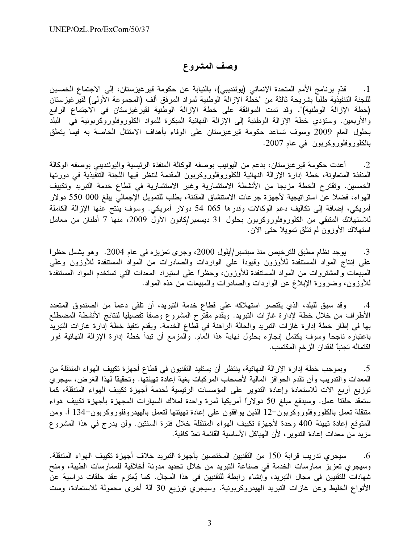### وصف المشروع

قدّم برنامج الأمم المتحدة الإنمائي (يوئنديبي)، بالنيابة عن حكومة قير غيزستان، إلى الاجتماع الخمسين  $\Box$ لللجنة التنفيذية طلباً بشريحة ثالثة من "خطة الإزالة الوطنية لمواد المرفق ألف (المجموعة الأولى) لقيرغيزستان (خطة الإزالة الوطنية)". وقد تمت الموافقة على خطة الإزالة الوطنية لقيرغيزستان في الاجتماع الرابع والأربعين. وستؤدي خطة الإزالة الوطنية إلى الإزالة النهائية المبكرة للمواد الكلوروفلوروكربونية في البلد بحلول العام 2009 وسوف تساعد حكومة قيرغيزستان على الوفاء بأهداف الامتثال الخاصة به فيما يتعلق بالكلوروفلوروكربون في عام 2007.

أعدت حكومة قير غيزستان، بدعم من اليونيب بوصفه الوكالة المنفذة الرئيسية واليوئنديبي بوصفه الوكالة  $\cdot$ .2 المنفذة المتعاونة، خطة إدارة الإزالة النهائية للكلوروفلوروكربون المقدمة لتنظر فيها اللجنة التنفيذية في دورتها الخمسين. وتقترح الخطة مزيجا من الأنشطة الاستثمارية وغير الاستثمارية في قطاع خدمة التبريد وتكييف المهواء، فضلا عن استراتيجية لأجهزة جرعات الاستنشاق المقننة، بطلب للتمويل الإجمالي يبلغ 000 550 دولار أمريكي، إضافة إلى تكاليف دعم الوكالات وقدرها 065 54 دولار أمريكي. وسوف ينتج عنها الإزالة الكاملة للاستهلاك المتبقى من الكلوروفلوروكربون بحلول 31 ديسمبر/كانون الأول 2009، منها 7 أطنان من معامل استهلاك الأوزون لم تتلق تمويلاً حتى الآن.

يوجد نظام مطبق للترخيص منذ سبتمبر/أيلول 2000، وجرى تعزيزه في عام 2004. وهو يشمل حظراً  $\cdot$ 3 علَّى إنتاج المواد المستنفدة للأوزون وقيوداً على الواردات والصادرات من المواد المستنفدة للأوزون وعلَّى المبيعات والمشتروات من المواد المستنفدة للأوزون، وحظراً على استيراد المعدات التي تستخدم المواد المستنفدة للأوزون، وضرورة الإبلاغ عن الواردات والصادرات والمبيعات من هذه المواد.

وقد سبق للبلد، الذي يقتصر استهلاكه على قطاع خدمة التبريد، أن تلقى دعماً من الصندوق المتعدد  $.4$ الأطراف من خلال خطة لإدارة غازات التبريد. ويقدم مقترح المشروع وصفًا تفصيليًا لنتائج الأنشطة المضطلع بها في إطار خطة إدارة غازات التبريد والحالة الراهنة في قطاع الخدمة. ويقدم تنفيذ خطة إدارة غازات التبريد باعتباره ناجحاً وسوف يكتمل إنجازه بحلول نهاية هذا العام. والمزمع أن تبدأ خطة إدارة الإزالة النهائية فور اكتماله تجنباً لفقدان الزخم المكتسب.

وبموجب خطة إدارة الإزالة النهائية، ينتظر أن يستفيد التقنيون في قطاع أجهزة تكييف الهواء المتنقلة من  $.5$ المعدات والتدريب وأن تقدم الحوافز المالية لأصحاب المركبات بغية إعادة تهيئتها. وتحقيقاً لمهذا الغرض، سيجري توزيع أربع ألات للاستعادة وإعادة التدوير على المؤسسات الرئيسية لخدمة أجهزة تكييف الهواء المتنقلة، كما ستعقد حلقتا عمل. وسيدفع مبلغ 50 دولاراً أمريكياً لمرة واحدة لملاك السيارات المجهزة بأجهزة تكييف هواء متنقلة تـعمل بالكلوروفلوروكربون–12 الذين يوافقون على إعادة تـهيئتها لتعمل بالمهيدروفلوروكربون–134 أ. ومن المتوقع إعادة تهيئة 400 وحدة لأجهزة تكييف الهواء المتنقلة خلال فترة السنتين. ولن يدرج في هذا المشروع مزيد من معدات إعادة التدوير ، لأن الهياكل الأساسية القائمة تعدّ كافية.

سيجر ي تدريب قرابة 150 من التقنيين المختصين بأجهزة التبريد خلاف أجهزة تكييف الهواء المتنقلة.  $.6$ وسيجري تعزيز ممارسات الخدمة في صناعة التبريد من خلال تحديد مدونة أخلاقية للممارسات الطيبة، ومنح شهادات للتقنيين في مجال التبريد، وإنشاء رابطة للتقنيين في هذا المجال. كما يُعتزم عقد حلقات دراسية عن الأنواع الخليط وعن غازات التبريد الهيدروكربونية. وسيجري توزيع 30 آلة أخرى محمولة للاستعادة، وست

3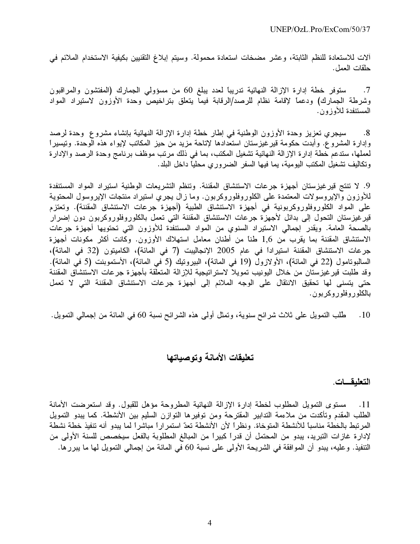ألات للاستعادة للنظم الثابتة، وعشر مضخات استعادة محمولة. وسيتم إبلاغ التقنيين بكيفية الاستخدام الملائم في حلقات العمل.

ستوفر خطة إدارة الإزالة النهائية تدريباً لعدد يبلغ 60 من مسؤولي الجمارك (المفتشون والمراقبون  $\cdot$ .7 وشرطة الجمارك) ودعماً لإقامة نظام للرصد/الرقابة فيما يتعلق بتراخيص وحدة الأوزون لاستيراد المواد المستنفدة لملأوز ون.

سيجرى تعزيز وحدة الأوزون الوطنية في إطار خطة إدارة الإزالة النهائية بإنشاء مشروع وحدة لرصد  $.8$ وإدارة المشروع. وأبدت حكومة قيرغيزستان استعدادها لإتاحة مزيد من حيز المكاتب لإيواء هذه الوحدة. وتيسيراً لعملها، ستدعم خطة إدارة الإزالة النهائية تشغيل المكتب، بما في ذلك مرتب موظف برنامج وحدة الرصد والإدارة وتكاليف نشغيل المكتب اليومية، يما فيها السفر الضروري محليًا داخل البلد.

9. لا تنتج قير غيزستان أجهزة جرعات الاستنشاق المقننة. وتنظم التشريعات الوطنية استيراد المواد المستنفدة للأوزون والإيروسولات المعتمدة على الكلوروفلوروكربون. وما زال يجري استيراد منتجات الإيروسول المحتوية على المواد الكلوروفلوروكربونية في أجهزة الاستتشاق الطبية (أجهزة جرعات الاستنشاق المقننة). وتعتزم قيرغيزستان التحول إلى بدائل لأجهزة جرعات الاستتشاق المقننة التي تعمل بالكلوروفلوروكربون دون إضرار بالصحة العامة. ويقدر إجمالي الاستيراد السنوي من المواد المستنفدة للأوزون التي تحتويها أجهزة جرعات الاستتشاق المقننة بما يقرب من 1٫6 طناً من أطنان معامل استهلاك الأوزون. وكانت أكثر مكونات أجهزة جرعات الاستنشاق المقننة استيراداً في عام 2005 الإنجاليبت (7 في المائة)، الكاميتون (32 في المائة)، السالبوتامول (22 في المائة)، الأولازول (19 في المائة)، البيروتيك (5 في المائة)، الأستموبنت (5 في المائة). وقد طلبت قير غيز ستان من خلال اليونيب تمويلا لاستر اتيجية للإزالة المتعلقة بأجهزة جرعات الاستتشاق المقننة حتى يتسنى لها تحقيق الانتقال على الوجه الملائم إلى أجهزة جرعات الاستنشاق المقننة التي لا تعمل بالكلوروفلوروكربون.

طُلب النمويل على ثلاث شرائح سنوية، وتمثَّل أولى هذه الشرائح نسبة 60 في المائة من إجمالي النمويل.  $.10$ 

## تعليقات الأمانة وتوصياتها

## التعليقات.

11. مستوى التمويل المطلوب لخطة إدارة الإزالة النهائية المطروحة مؤهل للقبول. وقد استعرضت الأمانة الطلب المقدم وتأكدت من ملاءمة التدابير المقترحة ومن توفيرها التوازن السليم بين الأنشطة. كما يبدو التمويل المرتبط بالخطة مناسباً للأنشطة المتوخاة. ونظراً لأن الأنشطة تعدّ استمراراً مباشراً لما يبدو أنه تنفيذ خطة نشطة لإدار ة غاز ات التبريد، يبدو من المحتمل أن قدراً كبيراً من المبالغ المطلوبة بالفعل سيخصص للسنة الأولى من التنفيذ. وعليه، يبدو أن الموافقة في الشريحة الأولى على نسبة 60 في المائة من إجمالي التمويل لها ما يبرر ها.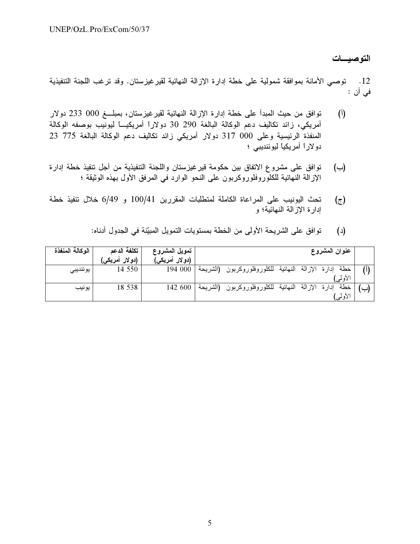التوصيسات

12. توصبي الأمانة بموافقة شمولية على خطة إدارة الإزالة النهائية لقيرغيزستان. وقد ترغب اللجنة التنفيذية في أن :

- توافق من حيث المبدأ على خطة إدارة الإزالة النهائية لقير غيزستان، بمبلـــغ 000 233 دولار  $\binom{1}{1}$ أمريكي، زائد تكاليف دعم الوكالة البالغة 290 30 دولاراً أمريكيـــاً ليونيب بوصفه الوكالة المنفذة الرئيسية وعلى 000 317 دولار أمريكي زائد تكاليف دعم الوكالة البالغة 775 23 دو لاراً أمريكياً ليوئنديبي ؛
- توافق على مشروع الاتفاق بين حكومة قير غيزستان واللجنة التنفيذية من أجل تتفيذ خطة إدارة  $(\rightarrow)$ الإزالة النهائية للكلُّوروفلوروكربون على النحو الوارد في المرفق الأول بهذه الوثيقة ؛
- تحث اليونيب على المراعاة الكاملة لمتطلبات المقررين 100/41 و 6/49 خلال تنفيذ خطة  $(\bar{z})$ إدار ة الإز الة النهائية؛ و

| (د)         توافق على الشريحة الأولى من الخطة بمستويات التمويل المبيّنة في الجدول أدناه: |  |
|------------------------------------------------------------------------------------------|--|
|------------------------------------------------------------------------------------------|--|

| الوكالة المنفذة | تكلفة الدعم               | تمويل المشروع   | عنوان المشروع                                                       |  |
|-----------------|---------------------------|-----------------|---------------------------------------------------------------------|--|
|                 | (دو لار  أمريك <i>ي</i> ) | (دو لار أمريكى) |                                                                     |  |
| يوئنديبي        | 14 550                    | 194 000         | خطة إدارة الإزالة النهائية للكلوروفلوروكربون (الشريحة               |  |
|                 |                           |                 | الأولمي                                                             |  |
| يونيب           | 18 538                    | 142 600         | الإزالة<br>خطة<br>للكلوروفلوروكربون (الشريحة<br>النهائية<br>ادار ءَ |  |
|                 |                           |                 | الأولمي                                                             |  |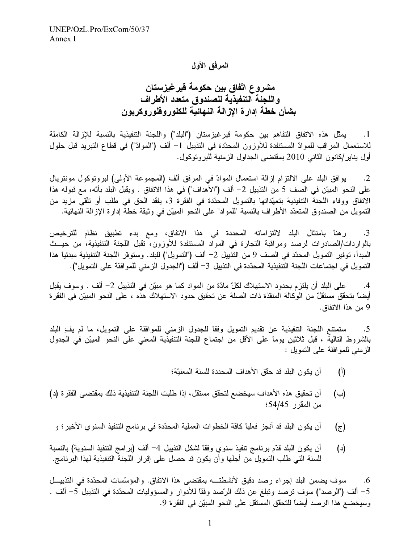#### المرفق الأول

مشروع اتفاق بين حكومة قيرغيزستان و اللجنة التنفيذية للصندوق متعدد الأطراف بشأن خطة إدارة الازالة النهائية للكلور وفلور وكربون

يمثِّل هذه الاتفاق التفاهم بين حكومة قير غيزستان ("البلد") واللجنة التنفيذية بالنسبة للإزالة الكاملة  $\overline{\phantom{a}}$  . 1 للاستعمال المراقب للموادّ المستنفدة للأوزون المحدّدة في التذييل 1– ألف ("الموادّ") في قطاع التبريد قبل حلول أول يناير/كانون الثاني 2010 بمقتضى الجداول الزمنية للبروتوكول.

يوافق البلد على الالتزام إزالة استعمال الموادّ في المرفق ألف (المجموعة الأولى) لبروتوكول مونتريال  $\cdot$ .2 على النحو المبيّن في الصف 5 من التذييل 2– ألف ("الأهداف") في هذا الاتفاق . ويقبل البلد بأنّه، مع قبوله هذا الاتفاق ووفاء اللجنة التنفيذية بتعهّداتها بالتمويل المحدّدة في الفقرة 3، يفقد الحق في طلب أو تلقى مزيد من التمويل من الصندوق المتعدّد الأطراف بالنسبة "للمواد" على النحو المبيّن في وثيقة خطة إدارة الإزالة النهائية.

رهنا بامتثال البلد لالتزاماته المحددة في هذا الاتفاق، ومع بدء تطبيق نظام للترخيص  $\cdot$ 3 بالواردات/الصادرات لرصد ومراقبة التجارة في المواد المستنفدة للأوزون، تقبل اللجنة التنفيذية، من حيــث المبدأ، توفير التمويل المحدّد في الصف 9 من التذييل 2– ألف ("التمويل") للبلد. وستوقر اللجنة التنفيذية مبدئياً هذا التمويل في اجتماعات اللجنة التنفيذية المحدّدة في التذييل 3– ألف ("الجدول الزمني للموافقة على التمويل").

على البلد أن يلتزم بحدود الاستهلاك لكلّ مادّة من المواد كما هو مبيّن في التذييل 2– ألف . وسوف يقبل  $\cdot$ .4 أيضاً بتحقِّق مستقلٍّ من الوكالة المنقذة ذات الصلة عن تحقيق حدود الاستهلاك هذه ، على النحو المبيّن في الفقر ة 9 من هذا الاتفاق.

ستمتنع اللجنة التنفيذية عن تقديم التمويل وفقًا للجدول الزمني للموافقة على التمويل، ما لم يف البلد  $.5$ بالشروط التالية ، قبل ثلاثين يوماً على الأقل من اجتماع اللجنة التنفيذية المعنى على النحو المبيّن في الجدول الزمني للموافقة على التمويل :

- أن يكون البلد قد حقَّق الأهداف المحددة للسنة المعنيَّة؛  $\binom{1}{1}$
- أن تحقيق هذه الأهداف سيخضع لتحقِّق مستقل، إذا طلبت اللجنة التنفيذية ذلك بمقتضى الفقر ة (د)  $(\rightarrow)$ من المقرر 54/45؛
- أن يكون البلد قد أنجز فعلياً كاقة الخطوات العملية المحدّدة في برنامج التنفيذ السنوي الأخير ؛ و  $(\tau)$
- أن يكون البلد قدَّم برنامج تنفيذ سنوي وفقًا لشكل التذييل 4– ألف (برامج التنفيذ السنوية) بالنسبة  $(\iota)$ للسنة التي طُلب التمويل من أجلها وأن يكون قد حصل على إقرار اللجنة التنفيذية لهذا البرنامج.

سوف يضمن البلد إجراء رصد دقيق لأنشطته بمقتضى هذا الاتفاق. والمؤسَّسات المحدّدة في التذييــل .6 5– ألف ("الرصد") سوف ترصد وتبلغ عن ذلك الرّصد وفقًا للأدوار والمسؤوليات المحدّدة في التذييل 5– ألف . وسيخضع هذا الرصد أيضاً للتحقق المستقل على النحو المبيّن في الفقرة 9.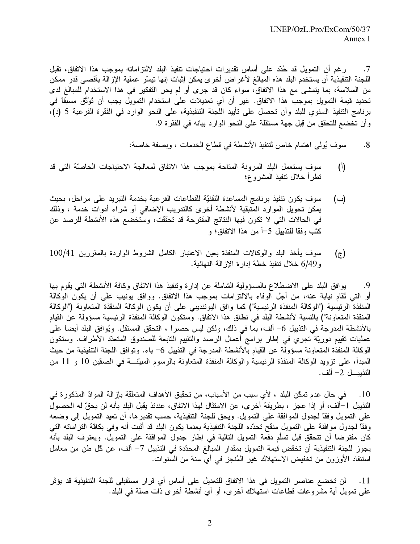ر غم أن التمويل قد حُدّد على أساس تقديرات احتياجات تنفيذ البلد لالتزاماته بموجب هذا الاتفاق، تقبل  $\cdot 7$ اللجنة التنفيذية أن يستخدم البلد هذه المبالغ لأغر اض أخر ى يمكن إثبات إنها تيسّر عملية الإز الة بأقصى قدر ممكن من السلاسة، بما يتمشى مع هذا الاتفاق، سواء كان قد جرى أو لم يجر التفكير في هذا الاستخدام للمبالغ لدى تحديد قيمة التمويل بموجب هذا الاتفاق. غير أن أي تعديلات على استخدام التمويل يجب أن تُوَنَّق مسبقاً في برنامج التنفيذ السنوي للبلد وأن تحصل على تأييد اللجنة التنفيذية، على النحو الوارد في الفقرة الفرعية 5 (د)، وأن تخضع للتحقق من قِبل جهة مستقلة على النحو الوارد بيانه في الفقرة 9.

> سوف يُولِّي اهتمام خاص لتنفيذ الأنشطة في قطاع الخدمات ، وبصفة خاصة:  $.8\,$

- سوف يستعمل البلد المرونة المتاحة بموجب هذا الاتفاق لمعالجة الاحتياجات الخاصّة التي قد  $\left($ <sup>[</sup>) تطرأ خلال تنفيذ المشروع؛
- سوف يكون تنفيذ برنامج المساعدة التقنيّة للقطاعات الفرعية بخدمة التبريد على مراحل، بحيث (ب) يمكن تحويل الموارد المتبقية لأنشطة أخرى كالتدريب الإضافي أو شراء أدوات خدمة ، وذلك في الحالات التي لا تكون فيها النتائج المقترحة قد تحققت، وستخضع هذه الأنشطة للرصد عن كثب وفقًا للتذييل 5—أ من هذا الاتفاق؛ و
- سوف يأخذ البلد والوكالات المنفذة بعين الاعتبار الكامل الشروط الواردة بالمقررين 100/41  $(\tau)$ و6/49 خلال تنفيذ خطة إدارة الإزالة النهائية.

يوافق البلد على الاضطلاع بالمسؤولية الشاملة عن إدارة وتنفيذ هذا الاتفاق وكافة الأنشطة التبي يقوم بها .9 أو التي ثقام نيابة عنه، من أجل الوفاء بالالتزامات بموجب هذا الاتفاق. ووافق يونيب على أن يكون الوكالة المنفذة الرئيسية ("الوكالة المنفذة الرئيسية") كما وافق اليوئنديبي على أن يكون الوكالة المنقذة المتعاونة ("الوكالة المنقذة المتعاونة") بالنسبة لأنشطة البلد في نطاق هذا الاتفاق. وستكون الوكالة المنفذة الرئيسية مسؤولة عن القيام بالأنشطة المدرجة في التذييل 6– ألف، بما في ذلك، ولكن ليس حصراً ، التحقُّق المستقل. ويُوافق البلد أيضاً على عمليات نقييم دوريّة تجري في إطار برامج أعمال الرصد والتقييم التابعة للصندوق المتعدّد الأطراف. وستكون الوكالة المنفذة المتعاونة مسؤولة عن القيام بالأنشطة المدرجة في التذييل 6– باء. وتوافق اللجنة التنفيذية من حيث المبدأ، على نزويد الوكالة المنفذة الرئيسية والوكالة المنفذة المتعاونة بالرسوم المبيّنــــة في الصـقين 10 و 11 من التذييــــل 2– ألف.

10 . في حال عدم تمكّن البلد ، لأي سبب من الأسباب، من تحقيق الأهداف المتعلّقة بإز الة الموادّ المذكور ة في التذييل 1–ألف، أو إذا عجز ، بطريقة أخر ي، عن الامتثال لهذا الاتفاق، عندئذ يقبل البلد بأنه لن يحقّ له الحصول على النمويل وفقًا لجدول الموافقة على النمويل. ويحق للجنة التنفيذية، حسب تقدير ها، أن نعيد النمويل إلى وضعه وفقًا لجدول موافقة على التمويل منقح تحدّده اللجنة التنفيذية بعدما يكون البلد قد أثبت أنه وفي بكاقة التز اماته التي كان مفترضاً أن نتحقَّق قبل تسلُّم دفعة التمويل التالية في إطار جدول الموافقة على التمويل. ويعترف البلد بأنه يجوز للجنة التنفيذية أن تخقض قيمة التمويل بمقدار المبالغ المحدّدة في التذييل 7– ألف، عن كل طن من معامل استنفاد الأوزون من تخفيض الاستهلاك غير المُنجز في أي سنة من السنوات.

لن تخضـع عناصـر التمويل في هذا الاتفاق للتعديل على أساس أي قر ار مستقبلي للجنة التنفيذية قد يؤثر  $.11$ على تمويل أية مشروعات قطاعات استهلاك أخرى، أو أي أنشطة أخرى ذات صلة في البلد.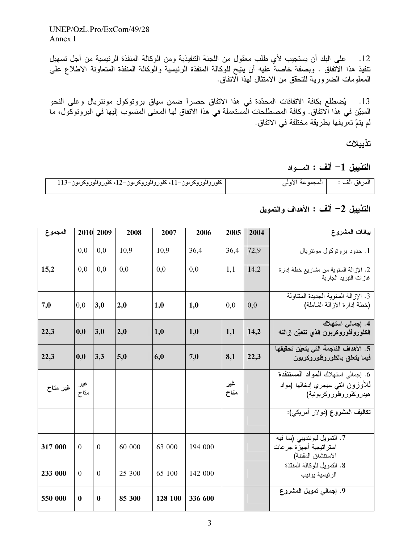12. على البلد أن يستجيب لأي طلب معقول من اللجنة التنفيذية ومن الوكالة المنفذة الرئيسية من أجل تسهيل تنفيذ هذا الاتفاق . وبصفة خاصةً عليه أن يتيح للوكالة المنفذة الرئيسية والوكالة المنفذة المتعاونة الاطلاع على المعلومات الضرورية للتحقق من الامتثال لمهذا الاتفاق.

13. يُضطلع بكافة الاتفاقات المحدّدة في هذا الاتفاق حصراً ضمن سياق بروتوكول مونتريال وعلى النحو المبيّن في هذا الاتفاق. وكافة المصطلحات الْمستعملة في هذا الاتفاق لها المعنى المنسوب إليها في البروتوكول، ما لم يتمّ تعرّ يفها بطريقة مختلفة في الاتفاق.

تذييلات

التذييل 1– ألف : المسواد

| كلوروفلوروكربون–11، كلوروفلوروكربون–12، كلوروفلوروكربون–113 | المرفق ألف :         المجموعة الأولى |
|-------------------------------------------------------------|--------------------------------------|

## التذييل 2– ألف : الأهداف والتمويل

| المجموع                        | 2010       | 2009     | 2008   | 2007    | 2006    | 2005        | 2004 | بيانات المشروع                                                                                     |
|--------------------------------|------------|----------|--------|---------|---------|-------------|------|----------------------------------------------------------------------------------------------------|
|                                | 0,0        | 0.0      | 10,9   | 10,9    | 36,4    | 36,4        | 72,9 | 1. حدود بر وتوكول مونتريال                                                                         |
| 15,2                           | 0,0        | 0.0      | 0.0    | 0,0     | 0,0     | 1,1         | 14,2 | 2. الإزالة السنوية من مشاريع خطة إدارة<br>غاز ات النبر يد الجار ية                                 |
| 7,0                            | 0,0        | 3,0      | 2,0    | 1,0     | 1,0     | 0,0         | 0.0  | 3. الإز الة السنوية الجديدة المتناولة<br>(خطة إدارة الإزالة الشاملة)                               |
| 22,3                           | 0,0        | 3,0      | 2,0    | 1,0     | 1,0     | 1,1         | 14,2 | 4. إجمالي استهلاك<br>الكلوروفلوروكربون الذي تتعيّن إزالته                                          |
| 22,3                           | $\bf{0,0}$ | 3,3      | 5,0    | 6,0     | 7,0     | 8,1         | 22,3 | 5. الأهداف الناجمة التي يتعيّن تحقيقها<br>فيما يتعلق بالكلوروفلوروكربون                            |
| غیر   غ <b>یر متاح</b><br>متاح |            |          |        |         |         | غیر<br>متاح |      | 6. إجمالي استهلاك المواد المستنفدة<br>للأوزون التبي سيجري إدخالها (مواد<br>هيدروكلوروفلوروكربونية) |
|                                |            |          |        |         |         |             |      | تكاليف المشروع (دولار أمريكي):                                                                     |
| 317 000                        | $\theta$   | $\Omega$ | 60 000 | 63 000  | 194 000 |             |      | 7. التمويل ليوئنديبي (بما فيه<br>استر اتيجية أجهزة جرعات<br>الاستنشاق المقننة)                     |
| 233 000                        | $\theta$   | $\Omega$ | 25 300 | 65 100  | 142 000 |             |      | 8. التمويل للوكالة المنقذة<br>الر ئيسية يونيب                                                      |
| 550 000                        | $\bf{0}$   | $\bf{0}$ | 85 300 | 128 100 | 336 600 |             |      | 9. إجمالي تمويل المشروع                                                                            |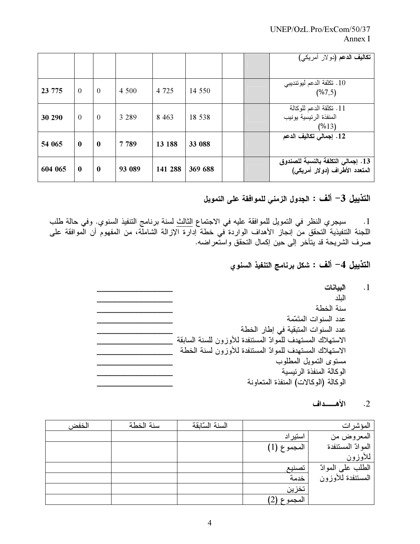|         |              |              |         |         |         |  | تكاليف الدعم (دولار أمريكي)                                          |
|---------|--------------|--------------|---------|---------|---------|--|----------------------------------------------------------------------|
| 23 775  | $\Omega$     | $\theta$     | 4 500   | 4 7 2 5 | 14 550  |  | 10 . تكلفة الدعم ليوئنديبي<br>(%7,5)                                 |
| 30 290  | $\Omega$     | $\theta$     | 3 289   | 8 4 6 3 | 18 538  |  | 11. تكلقة الدعم للوكالة<br>المنفذة الرئيسية يونيب<br>(%13)           |
| 54 065  | $\bf{0}$     | $\bf{0}$     | 7 7 8 9 | 13 188  | 33 088  |  | 12. إجمالي تكاليف الدعم                                              |
| 604 065 | $\mathbf{0}$ | $\mathbf{0}$ | 93 089  | 141 288 | 369 688 |  | 13. إجمالي التكلفة بالنسبة للصندوق<br>المتعدد الأطراف (دولار أمريكي) |

النّذييل 3– ألف : الجدول الزمني للموافقة على التمويل

1. سيجري النظر في التمويل للموافقة عليه في الاجتماع الثالث لسنة برنامج التنفيذ السنوي. وفي حالة طلب<br>اللجنة التنفيذية التحقق من إنجاز الأهداف الواردة في خطة إدارة الإزالة الشاملة، من المفهوم أن الموافقة على صرف الشريحة قد يتأخر إلى حين إكمال التحقق واستعراضه.

التذييل 4— ألف : شكل برنامج التنفيذ السنوي

| الببانات                                                   |
|------------------------------------------------------------|
| الىلد                                                      |
| سنة الخطة                                                  |
| عدد السنوات المتَمّمة                                      |
| عدد السنوات المتبقية في إطار الخطة                         |
| الاستهلاك المستهدف للموادّ المستنفدة للأوزون للسنة السابقة |
| الاستهلاك المستهدف للموادّ المستنفدة للأوزون لسنة الخطة    |
| مستوى التمويل المطلوب                                      |
| الوكالة المنفذة الر ئيسية                                  |
| الوكالة (الوكالات) المنفذة المتعاونة                       |

الأهسسداف  $\cdot$  .2

 $\cdot$ 1

| المؤشرات           |             | السنة السالقة | سنة الخطة | الخفض |
|--------------------|-------------|---------------|-----------|-------|
| المعروض من         | استير اد    |               |           |       |
| المو ادّ المستنفدة | المجموع (1) |               |           |       |
| للأوزون            |             |               |           |       |
| الطلب على الموادّ  | تصنيع       |               |           |       |
| المستنفدة للأوزون  | خدمة        |               |           |       |
|                    | تخزين       |               |           |       |
|                    | المجموع (2) |               |           |       |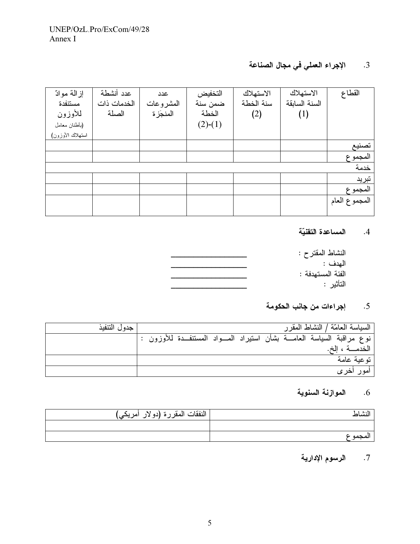# 3. الإجراء العملي في مجال الصناعة

| إز المة موادّ    | عدد أنشطة   | عدد       | التخفيض   | الاستهلاك | الاستهلاك     | القطاع        |
|------------------|-------------|-----------|-----------|-----------|---------------|---------------|
| مستنفدة          | الخدمات ذات | المشروعات | ضمن سنة   | سنة الخطة | السنة السابقة |               |
| للأوزون          | الصلة       | المنجز ة  | الخطة     | (2)       | (1)           |               |
| (بأطنان معامل    |             |           | $(2)-(1)$ |           |               |               |
| استهلاك الأوزون) |             |           |           |           |               |               |
|                  |             |           |           |           |               | تصنيع         |
|                  |             |           |           |           |               | المجمو ع      |
|                  |             |           |           |           |               | خدمة          |
|                  |             |           |           |           |               | تبريد         |
|                  |             |           |           |           |               | المجموع       |
|                  |             |           |           |           |               | المجموع العام |
|                  |             |           |           |           |               |               |

#### 4. المساعدة التقنيّة

| النشاط المقترح :  |
|-------------------|
| المهدف :          |
| الفئة المستهدفة : |
| التأثير :         |
|                   |

# 5. إجراءات من جانب الحكومة

| جدول التنفيذ |                                                                              |  | السياسة المعامّة / النشاط المقر ر |
|--------------|------------------------------------------------------------------------------|--|-----------------------------------|
|              | نوع مراقبة السياسة العامــــة بشأن استيراد المــــواد المستنفـــدة للأوزون : |  |                                   |
|              |                                                                              |  | الخدمـــة ، الخ.                  |
|              |                                                                              |  | توعية عامة                        |
|              |                                                                              |  | امور اخر ی                        |

# 6. الموازنة السنوية

| النشاط   | النفقات المقررة (دو لار أمريكي) |
|----------|---------------------------------|
|          |                                 |
| المحمو ع |                                 |

# 7. الرسوم الإدارية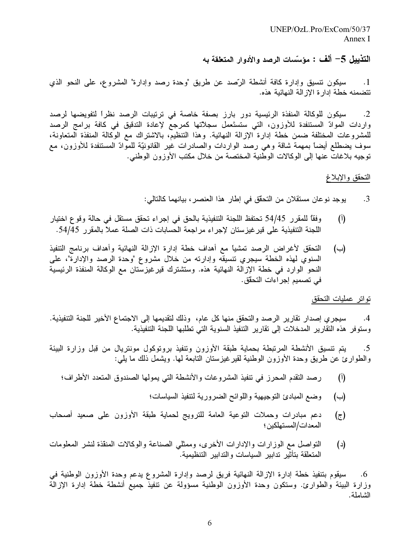$UNEP/OzL$  Pro/ExCom/50/37 Annex I

التذييل 5– ألف : مؤسَّسات الرصد والأدوار المتعلقة به

سيكون نتسيق وإدارة كافة أنشطة الرَّصد عن طريق "وحدة رصد وإدارة" المشروع، على النحو الذي  $\cdot$ 1 تتضمنه خطة إدار ة الإز الة النهائية هذه.

سيكون للوكالة المنفذة الرئيسية دور بارز بصفة خاصة في ترتيبات الرصد نظراً لتفويضها لرصد  $\cdot$ .2 واردات الموادّ المستنفدة للأوزون، التي ستستَعمل سجلاّتها كمرجع لإعادة التدقيق في كافة برامج الرصد للمشروعات المختلفة ضمن خطة إدارة الإزالة النهائية. وهذا التنظيم، بالاشتراك مع الوكالة المنفذة المتعاونة، سوف يضطلع أيضاً بمهمة شاقة وهي رصد الواردات والصادرات غير القانونيّة للموادّ المستنفدة للأوزون، مع توجيه بلاغاتٌ عنها إلى الوكالات الوطنية المختصة من خلال مكتب الأوزون الوطني.

التحقق والإبلاغ

يوجد نوعان مستقلان من التحقُّق في إطار هذا العنصـر ، بيانـهما كالتالي:  $\cdot$ 3

- وفقًا للمقرر 54/45 تحتفظ اللجنة التنفيذية بالحق في إجراء تحقق مستقل في حالة وقوع اختيار  $(\mathfrak{h})$ اللجنة التنفيذية على قير غيزستان لإجراء مراجعة الحسابات ذات الصلة عملا بالمقرر 54/45.
- التحقق لأغراض الرصد تمشيأ مع أهداف خطة إدارة الإزالة النهائية وأهداف برنامج التنفيذ  $(\rightarrow)$ السنوي لمهذه الخطة سيجري نتسيقه وإدارته من خلال مشروع "وحدة الرصد والإدارة"، على النحو الوارد في خطة الإزالة النهائية هذه. وستشترك قيرغيزستان مع الوكالة المنفذة الرئيسية في تصميم إجر اءات التحقِّق.

تواتر عمليات التحقق

سيجرى إصدار نقارير الرصد والتحقق منها كل عام، وذلك لتقديمها إلى الاجتماع الأخير للجنة التنفيذية.  $\cdot$ .4 وستوفر هذه النقارير المدخلات إلى تقارير التنفيذ السنوية التي تطلبها اللجنة التنفيذية.

يتم نتسيق الأنشطة المرتبطة بحماية طبقة الأوزون وتنفيذ بروتوكول مونتريال من قِبل وزارة البيئة  $\cdot$ .5 والطوارئ عن طريق وحدة الأوزون الوطنية لقيرغيزستان التابعة لمها. ويشمل ذلك ما يلي:

- رصد التقدم المحرز في تنفيذ المشروعات والأنشطة التي يمولها الصندوق المتعدد الأطراف؛  $\binom{1}{1}$ 
	- وضع المبادئ التوجيهية واللوائح الضرورية لتنفيذ السياسات؛  $(\rightarrow)$
- دعم مبادرات وحملات التوعية العامة للترويج لحماية طبقة الأوزون على صعيد أصحاب  $(\tau)$ المعدات/المستهلكين ؛
- النواصل مع الوزارات والإدارات الأخرى، وممثلي الصناعة والوكالات المنقذة لنشر المعلومات  $(\epsilon)$ المتعلقة بتأثير تدابير السياسات والتدابير التنظيمية.

سيقوم بتنفيذ خطة إدارة الإزالة النهائية فريق لرصد وإدارة المشروع يدعم وحدة الأوزون الوطنية في  $.6$ وزارة البيئة والطوارئ. وستكون وحدة الأوزون الوطنية مسؤولة عن نتفيذ جميع أنشطة خطة إدارة الإزالة الشاملة.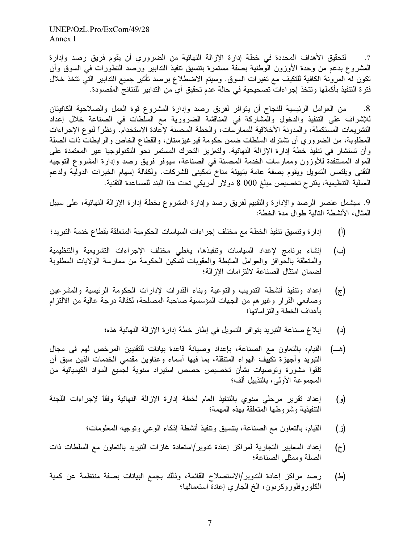UNEP/OzL.Pro/ExCom/49/28 Annex I

لتحقيق الأهداف المحددة في خطة إدارة الإزالة النهائية من الضروري أن يقوم فريق رصد وإدارة  $\cdot$ .7 المشروع بدعم من وحدة الأوزون الوطنية بصفة مستمرة بتتسيق تنفيذ التدابير ورصد التطورات في السوق وأن تكون له المرونة الكافية للتكيف مع تغيرات السوق. وسيتم الاضطلاع برصد تأثير جميع التدابير التي تتخذ خلال فترة التنفيذ بأكملها وتتخذ إجراءات تصحيحية في حالة عدم تحقيق أي من التدابير للنتائج المقصودة.

من العوامل الرئيسية للنجاح أن يتوافر لمفريق رصد وإدارة المشروع قوة العمل والصلاحية الكافيتان  $.8$ للإشراف على التنفيذ والدخول والمشاركة في المناقشة الضرورية مع السلطات في الصناعة خلال إعداد التشريعات المستكملة، والمدونة الأخلاقية للممارسات، والخطة المحسنة لإعادة الاستخدام. ونظراً لنوع الإجراءات المطلوبة، من الضروري أن نشترك السلطات ضمن حكومة قير غيزستان، والقطاع الخاص والرابطات ذات الصلة وأن تستشار في تنفيذ خطة إدارة الإزالة النهائية. ولتعزيز التحرك المستمر نحو التكنولوجيا غير المعتمدة على المواد المستنفدةَ للأوزون وممارسات الخدمة المحسنة في الصناعة، سيوفر فريق رصد وإدارة المشروع التوجيه التقني ويلتمس التمويل ويقوم بصفة عامة بتهيئة مناخ تمكيني للشركات. ولكفالة إسهام الخبرات الدولية ولدعم العملية التنظيمية، يقتر ح تخصيص مبلغ 000 8 دولار أمريكي تحت هذا البند للمساعدة التقنية.

9. سيشمل عنصر الرصد والإدارة والتقييم لفريق رصد وإدارة المشروع بخطة إدارة الإزالة النهائية، على سبيل المثال، الأنشطة التالية طوال مدة الخطة:

- إدار ة وتتسيق تنفيذ الخطة مع مختلف إجر اءات السياسات الحكومية المتعلقة بقطاع خدمة التبريد؛  $\left( \mathbf{1} \right)$
- إنشاء برنامج لإعداد السياسات ونتفيذها، يغطي مختلف الإجراءات التشريعية والتنظيمية  $(\rightarrow)$ والمتعلقة بالحوافز والعوامل المثبطة والعقوبات لتمكين الحكومة من ممارسة الولايات المطلوبة لضمان امتثال الصناعة لالتز امات الإز الة؛
- إعداد وتنفيذ أنشطة التدريب والتوعية وبناء القدرات لإدارات الحكومة الرئيسية والمشرعين  $(\tau)$ وصانعي القرار وغيرهم من الجهات المؤسسية صاحبة المصلحة، لكفالة درجة عالية من الالتزام بأهداف الخطة والتز اماتها؛
	- إبلاغ صناعة التبريد بتوافر التمويل في إطار خطة إدارة الإزالة النهائية هذه؛  $(\iota)$
- القيام، بالتعاون مع الصناعة، بإعداد وصيانة قاعدة بيانات للتقنيين المرخص لهم في مجال (هـــ) التبريد وأجهزة تكييف الهواء المتنقلة، بما فيها أسماء وعناوين مقدمي الخدمات الذين سبق أن تلقوا مشورة وتوصيات بشأن تخصيص حصص استيراد سنوية لجميع المواد الكيميائية من المجموعة الأولى، بالتذييل ألف؛
- إعداد نقرير مرحلي سنوي بالتنفيذ العام لخطة إدارة الإزالة النهائية وفقا لإجراءات اللجنة  $\left( \circ \right)$ التنفيذية وشر وطها المتعلقة بهذه المهمة؛
	- القيام، بالنعاون مع الصناعة، بتنسيق وتنفيذ أنشطة إذكاء الوعبي وتوجيه المعلومات؛ (ز)
- إعداد المعايير التجارية لمراكز إعادة تدوير/استعادة غازات التبريد بالتعاون مع السلطات ذات  $(z)$ الصلة وممثلي الصناعة؛
- رصد مراكز إعادة التدوير/الاستصلاح القائمة، وذلك بجمع البيانات بصفة منتظمة عن كمية (스) الكلوروفلوروكربون، الخ الجاري إعادة استعمالها؛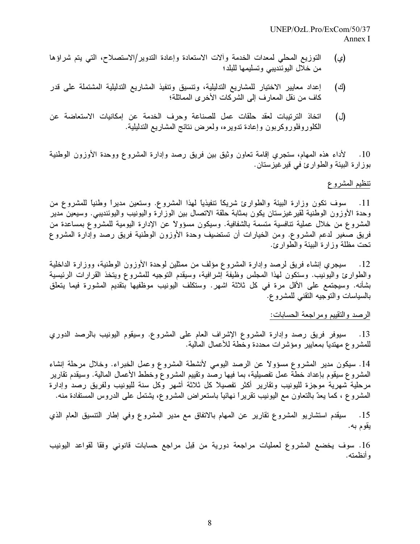- التوزيع المحلي لمعدات الخدمة وألات الاستعادة وإعادة التدوير/الاستصلاح، التي يتم شراؤها (ي) من خلال اليوئنديبي وتسليمها للبلد؛
- إعداد معايير الاختيار للمشاريع التدليلية، وتتسيق وتنفيذ المشاريع التدليلية المشتملة على قدر (ජ) كاف من نقل المعارف إلى الشركات الأخر ي المماثلة؛
- اتخاذ الترتيبات لعقد حلقات عمل للصناعة وحرف الخدمة عن إمكانيات الاستعاضة عن (ل) الكلوروفلوروكربون وإعادة ندويره، ولعرض نتائج المشاريع التدليلية.

لأداء هذه المهام، ستجري إقامة تعاون وثيق بين فريق رصد وإدارة المشروع ووحدة الأوزون الوطنية  $.10$ بوزارة البيئة والطوارئ في قيرغيزستان.

#### تنظيم المشروع

11. سوف تكون وزارة البيئة والطوارئ شريكاً تنفيذياً لهذا المشروع. وستعين مديراً وطنياً للمشروع من وحدة الأوزون الوطنية لقيرغيزستان يكون بمثابة حلقة الاتصال بين الوزارة واليونيب واليوئنديبي. وسيعين مدير المشروع من خلال عملية تنافسية متسمة بالشفافية. وسيكون مسؤولاً عن الإدارة اليومية للمشروع بمساعدة من فريق صغير لدعم المشروع. ومن الخيارات أن تستضيف وحدة الأوزون الوطنية فريق رصد وإدارة المشروع تحت مظلة وزارة البيئة والطوارئ.

سيجري إنشاء فريق لرصد وإدارة المشروع مؤلف من ممثلين لوحدة الأوزون الوطنية، ووزارة الداخلية  $.12$ والطوارئ واليونيب. وستكون لهذا المجلس وظيفة إشرافية، وسيقدم التوجيه للمشروع ويتخذ القرارات الرئيسية بشأنه. وسيجتمع على الأقل مرة في كل ثلاثة اشهر. وستكلف اليونيب موظفيها بتقديم المشورة فيما يتعلق بالسياسات والنوجيه النقنبي للمشروع.

#### الرصد والنقييم ومراجعة الحسابات:

سيوفر فريق رصد وإدارة المشروع الإشراف العام على المشروع. وسيقوم اليونيب بالرصد الدوري .13 للمشروع مهتديا بمعايير ومؤشرات محددة وخطة للأعمال المالية.

14. سيكون مدير المشروع مسؤولاً عن الرصد اليومي لأنشطة المشروع وعمل الخبراء. وخلال مرحلة إنشاء المشروع سيقوم بإعداد خطة عمل تفصيلية، بما فيها رصد وتقييم المشروع وخطط الأعمال المالية. وسيقدم تقارير مرحلية شهرية موجزة لليونيب وتقارير أكثر تفصيلاً كل ثلاثة أشهر وكل سنة لليونيب ولفريق رصد وإدارة المشروع ، كما يعدّ بالتعاون مع اليونيب نقريراً نـهائياً بـاستعراض المشروع، يشتمل علـى الدروس المستفادة منه.

سيقدم استشاريو المشروع تقارير عن الممهام بالاتفاق مع مدير المشروع وفي إطار التنسيق العام الذي  $\overline{.15}$ يقوم به.

16. سوف يخضع المشروع لعمليات مراجعة دورية من قِبل مراجع حسابات قانوني وفقا لقواعد اليونيب و أنظمته.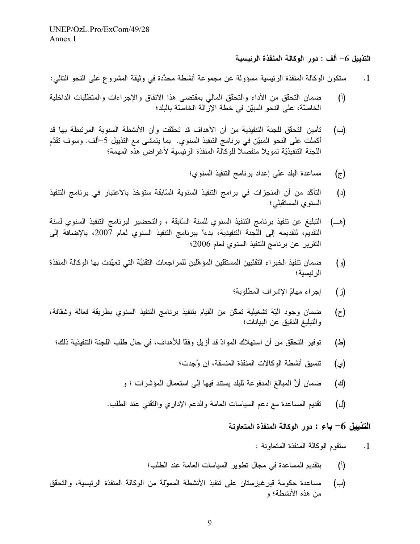التذييل 6– ألف : دور الوكالة المنفذة الرئيسية

ستكون الوكالة المنفذة الرئيسية مسؤولة عن مجموعة أنشطة محدَّدة في وثيقة المشروع على النحو التالي:  $\cdot \cdot 1$ 

- ضمان التحقق من الأداء والتحقق المالي بمقتضى هذا الاتفاق والإجراءات والمتطلبات الداخلية  $(\mathfrak{h})$ الخاصّة، على النحو المبيّن في خطة الإزّالة الخاصّة بالبلد؛
- تأمين التحقُّق للجنة التنفيذية من أن الأهداف قد تحقَّفت وأن الأنشطة السنوية المرتبطة بها قد (ب) أكملت على النحو المبيّن في برنامج التنفيذ السنوي. بما يتمشى مع التذييل 5–ألف. وسوف تقدّم اللجنة التنفيذيّة تمويلاً منفصلاً للوكالة المنفذة الرئيسية لأغراض هذه المهمة؛
	- مساعدة البلد على إعداد برنامج التنفيذ السنوى؛  $(\tau)$
- التأكّد من أن المنجزات في برامج التنفيذ السنوية السّابقة ستؤخذ بالاعتبار في برنامج التنفيذ  $(\iota)$ السنوى المستقبلي؛
- التبليغ عن تنفيذ برنامج التنفيذ السنوي للسنة السَّابقة ، والتحضير لبرنامج التنفيذ السنوي لسنة (هـــ) التقديم، لتقديمه إلى اللجنة التتفيذية، بدءاً ببرنامج التنفيذ السنوي لعام 2007، بالإضافة إلى النقرير عن برنامج النتفيذ السنوي لعام 2006؛
- ضمان تنفيذ الخبراء التقنّيين المستقلّين المؤهّلين للمراجعات التقنيَّة التي تعهّدت بها الوكالة المنفذة  $(e)$ الر ئېسبة؛
	- إجراء مهامّ الإشراف المطلوبة؛ (ز)
- ضمان وجود ألَّيَّة تشغيلية تمكَّن من القيام بتنفيذ برنامج التنفيذ السنوي بطريقة فعالة وشقافة،  $(z)$ والتبليغ الدقيق عن البيانات؛
- توفير التحقُّق من أن استهلاك الموادّ قد أزيل وفقًا للأهداف، في حال طلب اللجنة التنفيذية ذلك؛ (스)
	- تنسيق أنشطة الوكالات المنقذة المنسقة، إن وُجدت؛ (ي)
	- ضمان أنَّ المبالغ المدفوعة للبلد يستند فيها إلى استعمال المؤشرات ؛ و (ජ)
	- نقديم المساعدة مع دعم السياسات العامة والدعم الإداري والتقنبي عند الطلب. (ර)

#### التذييل 6– باع : دور الوكالة المنفذة المتعاونة

- ستقوم الوكالة المنفذة المتعاونة :  $\cdot$ 1
- بتقديم المساعدة في مجال تطوير السياسات العامة عند الطلب؛  $(\mathfrak{h})$
- مساعدة حكومة قير غيزستان على تنفيذ الأنشطة الممولة من الوكالة المنفذة الرئيسية، والتحقق  $(\hookrightarrow)$ من هذه الأنشطة؛ و